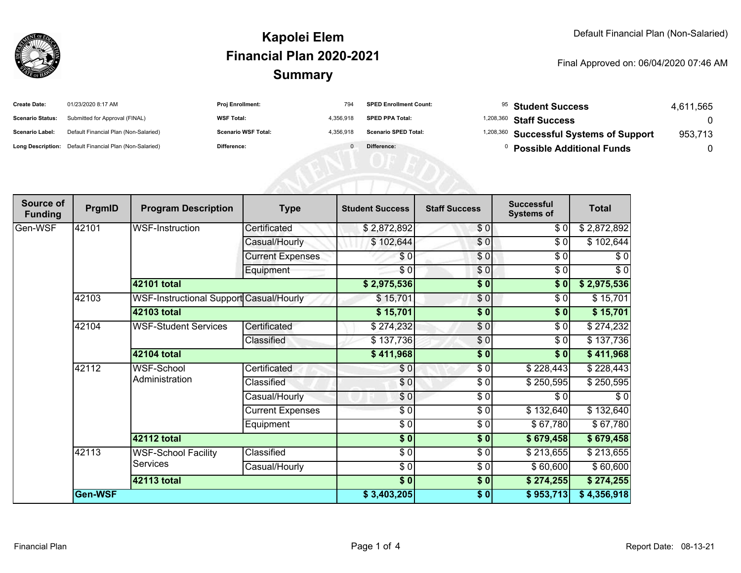

#### **SummaryKapolei ElemFinancial Plan 2020-2021**

#### Final Approved on: 06/04/2020 07:46 AM

| <b>Create Date:</b>     | 01/23/2020 8:17 AM                                      | <b>Proj Enrollment:</b>    | 794       | <b>SPED Enrollment Count:</b> | <sup>95</sup> Student Success                      | 4,611,565 |
|-------------------------|---------------------------------------------------------|----------------------------|-----------|-------------------------------|----------------------------------------------------|-----------|
| <b>Scenario Status:</b> | Submitted for Approval (FINAL)                          | <b>WSF Total:</b>          | 4.356.918 | <b>SPED PPA Total:</b>        | <sup>1,208,360</sup> Staff Success                 |           |
| <b>Scenario Label:</b>  | Default Financial Plan (Non-Salaried)                   | <b>Scenario WSF Total:</b> | 4.356.918 | <b>Scenario SPED Total:</b>   | <sup>1,208,360</sup> Successful Systems of Support | 953.713   |
|                         | Long Description: Default Financial Plan (Non-Salaried) | <b>Difference:</b>         |           | Difference:                   | <b>Possible Additional Funds</b>                   |           |

| Source of<br><b>Funding</b> | PrgmID  | <b>Program Description</b>                     | <b>Type</b>             | <b>Student Success</b> | <b>Staff Success</b> | <b>Successful</b><br><b>Systems of</b> | <b>Total</b> |
|-----------------------------|---------|------------------------------------------------|-------------------------|------------------------|----------------------|----------------------------------------|--------------|
| Gen-WSF                     | 42101   | <b>WSF-Instruction</b>                         | Certificated            | \$2,872,892            | \$0                  | \$0                                    | \$2,872,892  |
|                             |         |                                                | Casual/Hourly           | \$102,644              | \$0                  | \$0                                    | \$102,644    |
|                             |         |                                                | <b>Current Expenses</b> | \$0                    | \$0                  | \$0                                    | \$0          |
|                             |         |                                                | Equipment               | \$0                    | \$0                  | \$0                                    | \$0          |
|                             |         | 42101 total                                    |                         | \$2,975,536            | \$0                  | \$0                                    | \$2,975,536  |
|                             | 42103   | <b>WSF-Instructional Support Casual/Hourly</b> |                         | \$15,701               | $\frac{6}{6}$        | \$0                                    | \$15,701     |
|                             |         | 42103 total                                    |                         | \$15,701               | \$0                  | \$0                                    | \$15,701     |
|                             | 42104   | <b>WSF-Student Services</b>                    | Certificated            | \$274,232              | $\sqrt{6}$           | \$0                                    | \$274,232    |
|                             |         |                                                | Classified              | \$137,736              | \$0                  | \$0                                    | \$137,736    |
|                             |         | 42104 total                                    |                         | \$411,968              | $\frac{1}{2}$        | \$0                                    | \$411,968    |
|                             | 42112   | WSF-School<br>Administration                   | Certificated            | \$0                    | \$0                  | \$228,443                              | \$228,443    |
|                             |         |                                                | Classified              | \$0                    | \$0                  | \$250,595                              | \$250,595    |
|                             |         |                                                | Casual/Hourly           | \$0                    | $\frac{6}{6}$        | \$0                                    | $\sqrt{6}$   |
|                             |         |                                                | <b>Current Expenses</b> | \$0                    | \$0                  | \$132,640                              | \$132,640    |
|                             |         |                                                | Equipment               | $\frac{3}{2}$          | \$0                  | \$67,780                               | \$67,780     |
|                             |         | <b>42112 total</b>                             |                         | $\sqrt{6}$             | \$0                  | \$679,458                              | \$679,458    |
|                             | 42113   | <b>WSF-School Facility</b><br><b>Services</b>  | Classified              | $\sqrt{6}$             | $\frac{6}{6}$        | \$213,655                              | \$213,655    |
|                             |         |                                                | Casual/Hourly           | \$ 0                   | $\frac{6}{6}$        | \$60,600                               | \$60,600     |
|                             |         | <b>42113 total</b>                             |                         | \$0                    | \$0                  | \$274,255                              | \$274,255    |
|                             | Gen-WSF |                                                |                         | \$3,403,205            | \$0                  | \$953,713                              | \$4,356,918  |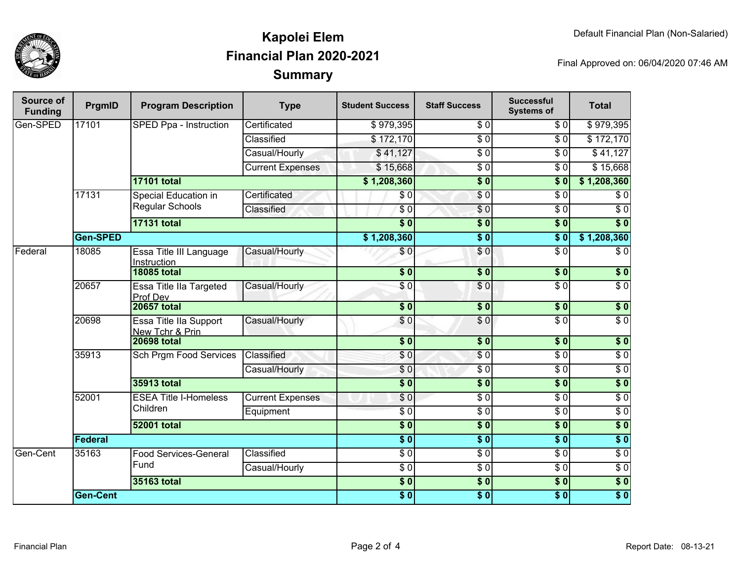

## **SummaryKapolei ElemFinancial Plan 2020-2021**

Final Approved on: 06/04/2020 07:46 AM

| Source of<br><b>Funding</b> | PrgmID             | <b>Program Description</b>                     | <b>Type</b>             | <b>Student Success</b>     | <b>Staff Success</b> | <b>Successful</b><br><b>Systems of</b> | <b>Total</b>     |
|-----------------------------|--------------------|------------------------------------------------|-------------------------|----------------------------|----------------------|----------------------------------------|------------------|
| Gen-SPED                    | 17101              | SPED Ppa - Instruction                         | Certificated            | \$979,395                  | $\sqrt{6}$           | $\overline{30}$                        | \$979,395        |
|                             |                    |                                                | Classified              | \$172,170                  | $\overline{S}0$      | $\overline{S}0$                        | \$172,170        |
|                             |                    |                                                | Casual/Hourly           | \$41,127                   | $\overline{\$0}$     | $\overline{\$0}$                       | \$41,127         |
|                             |                    |                                                | <b>Current Expenses</b> | \$15,668                   | $\sqrt{6}$           | $\overline{\$0}$                       | \$15,668         |
|                             |                    | <b>17101 total</b>                             |                         | \$1,208,360                | $\overline{\$0}$     | $\overline{\$0}$                       | \$1,208,360      |
|                             | 17131              | Special Education in<br><b>Regular Schools</b> | Certificated            | \$0                        | $\sqrt{6}$           | $\overline{\$0}$                       | $\sqrt{6}$       |
|                             |                    |                                                | Classified              | $\sqrt{6}$                 | \$0                  | $\overline{\$0}$                       | $\overline{\$0}$ |
|                             |                    | <b>17131 total</b>                             |                         | $\overline{\$0}$           | $\overline{\$0}$     | $\overline{\$0}$                       | $\overline{\$0}$ |
|                             | Gen-SPED           |                                                |                         | \$1,208,360                | $\overline{\$0}$     | $\overline{\$0}$                       | \$1,208,360      |
| Federal                     | 18085              | Essa Title III Language<br>Instruction         | Casual/Hourly           | $\sqrt{6}$                 | \$0                  | $\overline{\$0}$                       | $\overline{50}$  |
|                             |                    | <b>18085 total</b>                             |                         | $\overline{\$0}$           | $\overline{\$0}$     | $\overline{\$0}$                       | $\overline{\$0}$ |
|                             | 20657              | Essa Title IIa Targeted<br>Prof Dev            | Casual/Hourly           | $\overline{\$0}$           | $\sqrt{6}$           | $\overline{\$0}$                       | $\overline{\$0}$ |
|                             |                    | <b>20657 total</b>                             |                         | $\overline{\$0}$           | $\overline{\$0}$     | $\overline{\$0}$                       | \$0              |
|                             | 20698              | Essa Title IIa Support<br>New Tchr & Prin      | Casual/Hourly           | \$0                        | \$0                  | $\overline{\$0}$                       | $\overline{\$0}$ |
|                             |                    | <b>20698 total</b>                             |                         | $\overline{\$0}$           | $\overline{\$0}$     | $\overline{\$0}$                       | $\overline{\$0}$ |
|                             | 35913              | <b>Sch Prgm Food Services</b>                  | Classified              | \$0                        | \$0                  | $\overline{\$0}$                       | $\overline{50}$  |
|                             |                    |                                                | Casual/Hourly           | $\overline{S}0$            | $\sqrt{6}$           | $\overline{30}$                        | $\overline{\$0}$ |
|                             |                    | <b>35913 total</b>                             |                         | $\overline{\$0}$           | $\overline{\$0}$     | $\overline{\$0}$                       | $\overline{\$0}$ |
|                             | 52001              | <b>ESEA Title I-Homeless</b><br>Children       | <b>Current Expenses</b> | \$0                        | $\sqrt{6}$           | $\sqrt{6}$                             | $\overline{\$0}$ |
|                             |                    |                                                | Equipment               | $\overline{S}0$            | $\overline{\$0}$     | $\overline{30}$                        | $\overline{50}$  |
|                             | <b>52001 total</b> |                                                |                         | $\overline{\$0}$           | $\overline{\$0}$     | $\overline{\$0}$                       | $\overline{\$0}$ |
|                             | <b>Federal</b>     |                                                |                         | $\overline{\phantom{0}50}$ | $\overline{\$0}$     | $\overline{\$0}$                       | $\overline{\$0}$ |
| Gen-Cent                    | 35163              | Food Services-General<br>Fund                  | Classified              | $\overline{30}$            | $\sqrt{6}$           | $\overline{30}$                        | $\overline{\$0}$ |
|                             |                    |                                                | Casual/Hourly           | $\overline{30}$            | $\sqrt{6}$           | $\overline{\$0}$                       | $\overline{50}$  |
|                             |                    | 35163 total                                    | $\overline{\$0}$        | $\overline{\$0}$           | $\overline{\$0}$     | $\overline{\$0}$                       |                  |
|                             | <b>Gen-Cent</b>    |                                                |                         | $\overline{\$0}$           | $\overline{\$0}$     | $\overline{\$0}$                       | $\overline{\$0}$ |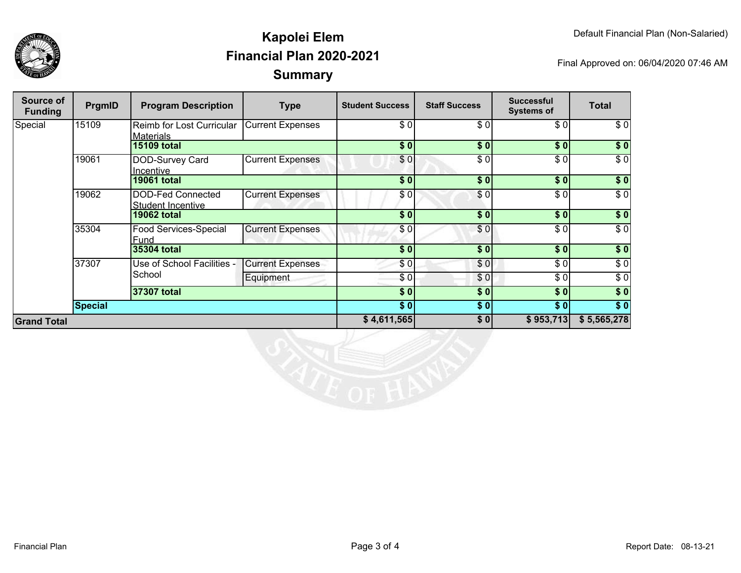



## **SummaryKapolei ElemFinancial Plan 2020-2021**

Final Approved on: 06/04/2020 07:46 AM

| Source of<br><b>Funding</b> | PrgmID  | <b>Program Description</b>                    | <b>Type</b>             | <b>Student Success</b> | <b>Staff Success</b> | <b>Successful</b><br><b>Systems of</b> | <b>Total</b>     |
|-----------------------------|---------|-----------------------------------------------|-------------------------|------------------------|----------------------|----------------------------------------|------------------|
| Special                     | 15109   | Reimb for Lost Curricular<br><b>Materials</b> | <b>Current Expenses</b> | \$0                    | \$0                  | \$ O                                   | \$0              |
|                             |         | <b>15109 total</b>                            |                         | \$0                    | \$0                  | \$0                                    | \$0              |
|                             | 19061   | DOD-Survey Card<br>Incentive                  | <b>Current Expenses</b> | \$0                    | \$0                  | \$ O                                   | $\overline{\$0}$ |
|                             |         | <b>19061 total</b>                            |                         | \$0                    | \$0                  | \$0]                                   | \$0              |
|                             | 19062   | DOD-Fed Connected<br><b>Student Incentive</b> | <b>Current Expenses</b> | \$0]                   | \$0                  | \$ O                                   | $\sqrt{6}$       |
|                             |         | <b>19062 total</b>                            |                         | \$0                    | \$0                  | \$0                                    | $\sqrt{50}$      |
|                             | 35304   | Food Services-Special<br>Fund                 | <b>Current Expenses</b> | \$0                    | \$0                  | \$ O                                   | $\overline{\$0}$ |
|                             |         | 35304 total                                   |                         | \$0                    | \$0                  | \$0]                                   | \$0              |
|                             | 37307   | Use of School Facilities -<br>School          | <b>Current Expenses</b> | \$0                    | \$0                  | \$ O                                   | \$0              |
|                             |         |                                               | Equipment               | \$0                    | \$0                  | \$0                                    | \$0              |
|                             |         | 37307 total                                   |                         | \$0                    | \$0                  | \$0                                    | \$0              |
|                             | Special |                                               |                         | \$0]                   | \$0                  | \$0                                    | $\sqrt{ }$       |
| <b>Grand Total</b>          |         |                                               | \$4,611,565             | \$0                    | \$953,713            | \$5,565,278                            |                  |